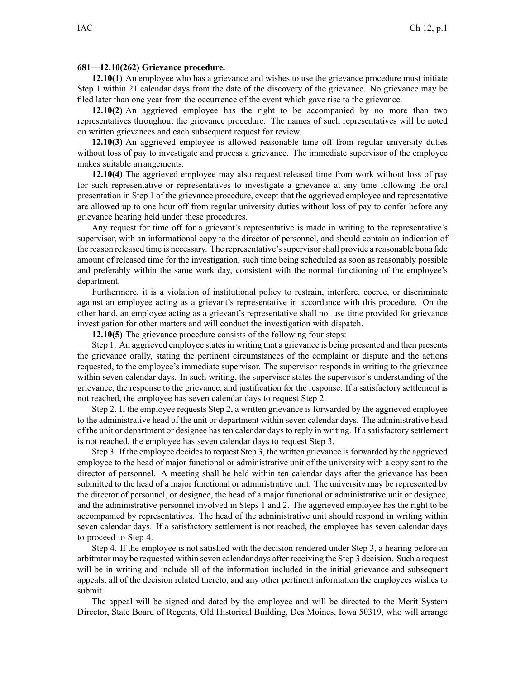## **681—12.10(262) Grievance procedure.**

**12.10(1)** An employee who has <sup>a</sup> grievance and wishes to use the grievance procedure must initiate Step 1 within 21 calendar days from the date of the discovery of the grievance. No grievance may be filed later than one year from the occurrence of the event which gave rise to the grievance.

**12.10(2)** An aggrieved employee has the right to be accompanied by no more than two representatives throughout the grievance procedure. The names of such representatives will be noted on written grievances and each subsequent reques<sup>t</sup> for review.

**12.10(3)** An aggrieved employee is allowed reasonable time off from regular university duties without loss of pay to investigate and process <sup>a</sup> grievance. The immediate supervisor of the employee makes suitable arrangements.

**12.10(4)** The aggrieved employee may also reques<sup>t</sup> released time from work without loss of pay for such representative or representatives to investigate <sup>a</sup> grievance at any time following the oral presentation in Step 1 of the grievance procedure, excep<sup>t</sup> that the aggrieved employee and representative are allowed up to one hour off from regular university duties without loss of pay to confer before any grievance hearing held under these procedures.

Any reques<sup>t</sup> for time off for <sup>a</sup> grievant's representative is made in writing to the representative's supervisor, with an informational copy to the director of personnel, and should contain an indication of the reason released time is necessary. The representative'ssupervisorshall provide <sup>a</sup> reasonable bona fide amount of released time for the investigation, such time being scheduled as soon as reasonably possible and preferably within the same work day, consistent with the normal functioning of the employee's department.

Furthermore, it is <sup>a</sup> violation of institutional policy to restrain, interfere, coerce, or discriminate against an employee acting as <sup>a</sup> grievant's representative in accordance with this procedure. On the other hand, an employee acting as <sup>a</sup> grievant's representative shall not use time provided for grievance investigation for other matters and will conduct the investigation with dispatch.

**12.10(5)** The grievance procedure consists of the following four steps:

Step 1. An aggrieved employee states in writing that a grievance is being presented and then presents the grievance orally, stating the pertinent circumstances of the complaint or dispute and the actions requested, to the employee's immediate supervisor. The supervisor responds in writing to the grievance within seven calendar days. In such writing, the supervisor states the supervisor's understanding of the grievance, the response to the grievance, and justification for the response. If <sup>a</sup> satisfactory settlement is not reached, the employee has seven calendar days to reques<sup>t</sup> Step 2.

Step 2. If the employee requests Step 2, <sup>a</sup> written grievance is forwarded by the aggrieved employee to the administrative head of the unit or department within seven calendar days. The administrative head of the unit or department or designee has ten calendar days to reply in writing. If <sup>a</sup> satisfactory settlement is not reached, the employee has seven calendar days to reques<sup>t</sup> Step 3.

Step 3. If the employee decides to request Step 3, the written grievance is forwarded by the aggrieved employee to the head of major functional or administrative unit of the university with <sup>a</sup> copy sent to the director of personnel. A meeting shall be held within ten calendar days after the grievance has been submitted to the head of <sup>a</sup> major functional or administrative unit. The university may be represented by the director of personnel, or designee, the head of <sup>a</sup> major functional or administrative unit or designee, and the administrative personnel involved in Steps 1 and 2. The aggrieved employee has the right to be accompanied by representatives. The head of the administrative unit should respond in writing within seven calendar days. If <sup>a</sup> satisfactory settlement is not reached, the employee has seven calendar days to proceed to Step 4.

Step 4. If the employee is not satisfied with the decision rendered under Step 3, <sup>a</sup> hearing before an arbitrator may be requested within seven calendar days after receiving the Step 3 decision. Such <sup>a</sup> reques<sup>t</sup> will be in writing and include all of the information included in the initial grievance and subsequent appeals, all of the decision related thereto, and any other pertinent information the employees wishes to submit.

The appeal will be signed and dated by the employee and will be directed to the Merit System Director, State Board of Regents, Old Historical Building, Des Moines, Iowa 50319, who will arrange